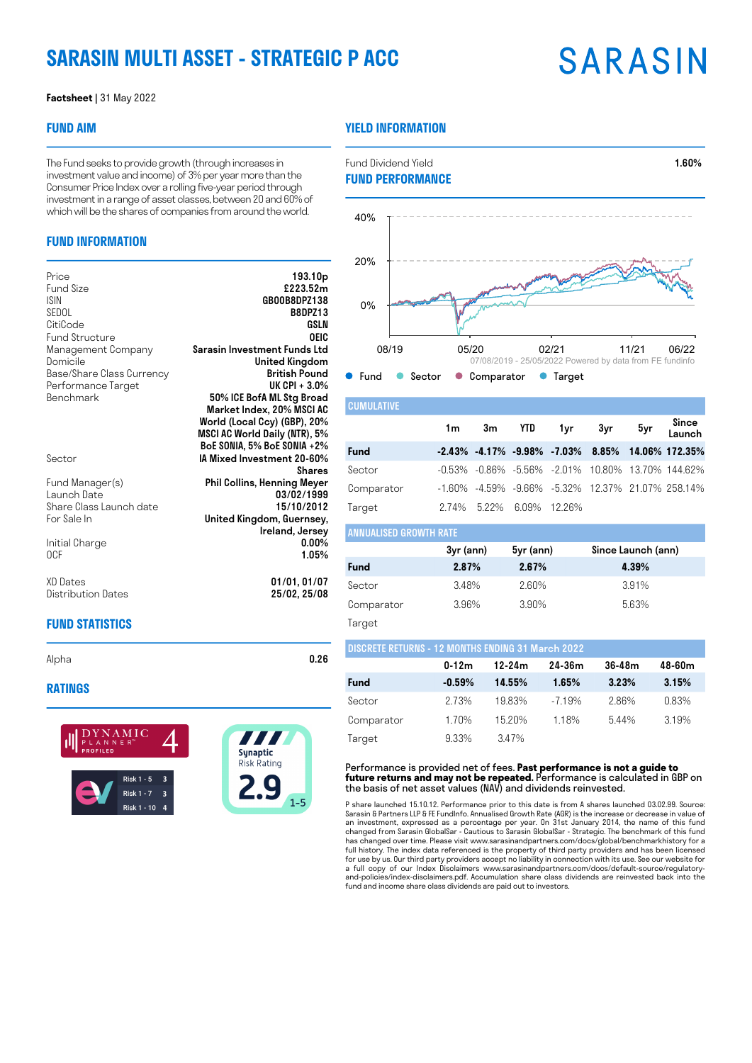# **SARASIN MULTI ASSET - STRATEGIC P ACC**

# **SARASIN**

### **Factsheet |** 31 May 2022

### **FUND AIM**

The Fund seeks to provide growth (through increases in investment value and income) of 3% per year more than the Consumer Price Index over a rolling five-year period through investment in a range of asset classes, between 20 and 60% of which will be the shares of companies from around the world.

## **FUND INFORMATION**

| Price<br>Fund Size<br><b>ISIN</b><br>SEDOL<br>CitiCode<br><b>Fund Structure</b> | 193.10 <sub>p</sub><br>£223.52m<br>GB00B8DPZ138<br><b>B8DPZ13</b><br>GSLN<br>OEIC |
|---------------------------------------------------------------------------------|-----------------------------------------------------------------------------------|
| Management Company<br>Domicile                                                  | Sarasin Investment Funds Ltd<br>United Kingdom                                    |
| Base/Share Class Currency                                                       | British Pound                                                                     |
| Performance Target                                                              | UK CPI + $3.0\%$                                                                  |
| Benchmark                                                                       | 50% ICE BofA ML Stg Broad                                                         |
|                                                                                 | Market Index, 20% MSCI AC<br>World (Local Ccy) (GBP), 20%                         |
|                                                                                 | MSCI AC World Daily (NTR), 5%                                                     |
|                                                                                 | BoE SONIA, 5% BoE SONIA +2%                                                       |
| Sector                                                                          | IA Mixed Investment 20-60%                                                        |
|                                                                                 | <b>Shares</b>                                                                     |
| Fund Manager(s)<br>Launch Date                                                  | <b>Phil Collins, Henning Meyer</b><br>03/02/1999                                  |
| Share Class Launch date                                                         | 15/10/2012                                                                        |
| For Sale In                                                                     | United Kingdom, Guernsey,                                                         |
|                                                                                 | Ireland, Jersey                                                                   |
| Initial Charge<br>0CF                                                           | $0.00\%$<br>1.05%                                                                 |
|                                                                                 |                                                                                   |
| XD Dates                                                                        | 01/01,01/07                                                                       |
| Distribution Dates                                                              | 25/02, 25/08                                                                      |
|                                                                                 |                                                                                   |

# **FUND STATISTICS**

Alpha **0.26** 

### **RATINGS**



### **YIELD INFORMATION**



Performance is provided net of fees. **Past performance is not a guide to future returns and may not be repeated.** Performance is calculated in GBP on the basis of net asset values (NAV) and dividends reinvested.

P share launched 15.10.12. Performance prior to this date is from A shares launched 03.02.99. Source: Sarasin & Partners LLP & FE FundInfo. Annualised Growth Rate (AGR) is the increase or decrease in value of an investment, expressed as a percentage per year. On 31st January 2014, the name of this fund changed from Sarasin GlobalSar - Cautious to Sarasin GlobalSar - Strategic. The benchmark of this fund has changed over time. Please visit www.sarasinandpartners.com/docs/global/benchmarkhistory for a full history. The index data referenced is the property of third party providers and has been licensed for use by us. Our third party providers accept no liability in connection with its use. See our website for a full copy of our Index Disclaimers www.sarasinandpartners.com/docs/default-source/regulatoryand-policies/index-disclaimers.pdf. Accumulation share class dividends are reinvested back into the fund and income share class dividends are paid out to investors.